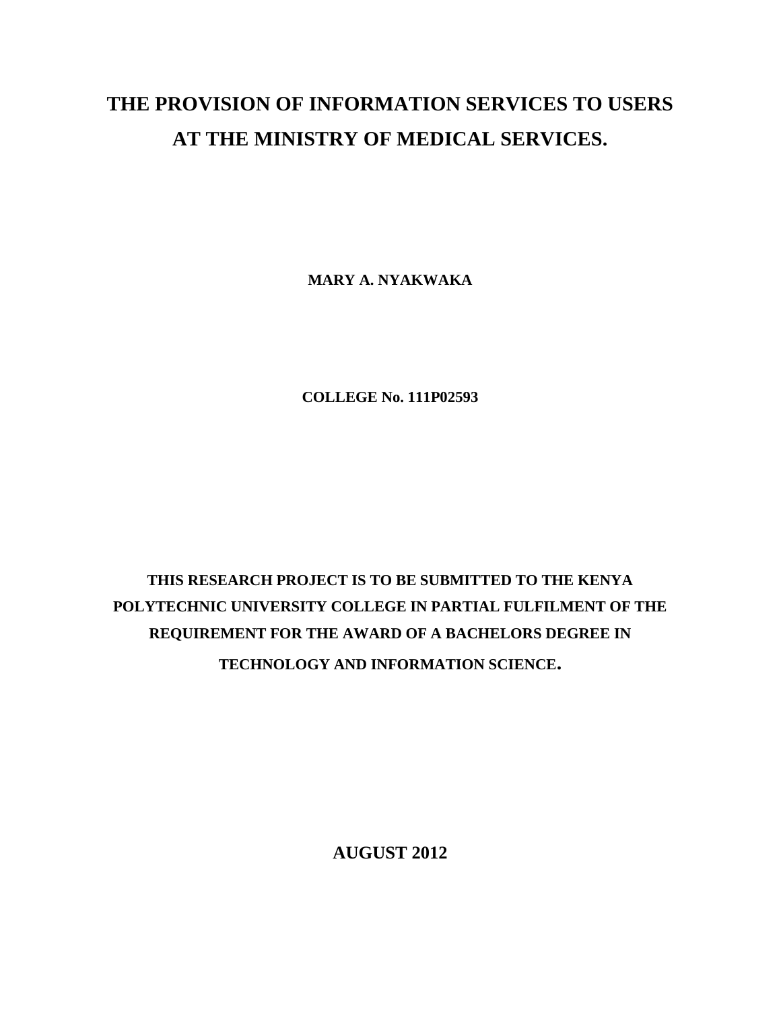## **THE PROVISION OF INFORMATION SERVICES TO USERS AT THE MINISTRY OF MEDICAL SERVICES.**

**MARY A. NYAKWAKA**

**COLLEGE No. 111P02593**

## **THIS RESEARCH PROJECT IS TO BE SUBMITTED TO THE KENYA POLYTECHNIC UNIVERSITY COLLEGE IN PARTIAL FULFILMENT OF THE REQUIREMENT FOR THE AWARD OF A BACHELORS DEGREE IN TECHNOLOGY AND INFORMATION SCIENCE.**

**AUGUST 2012**